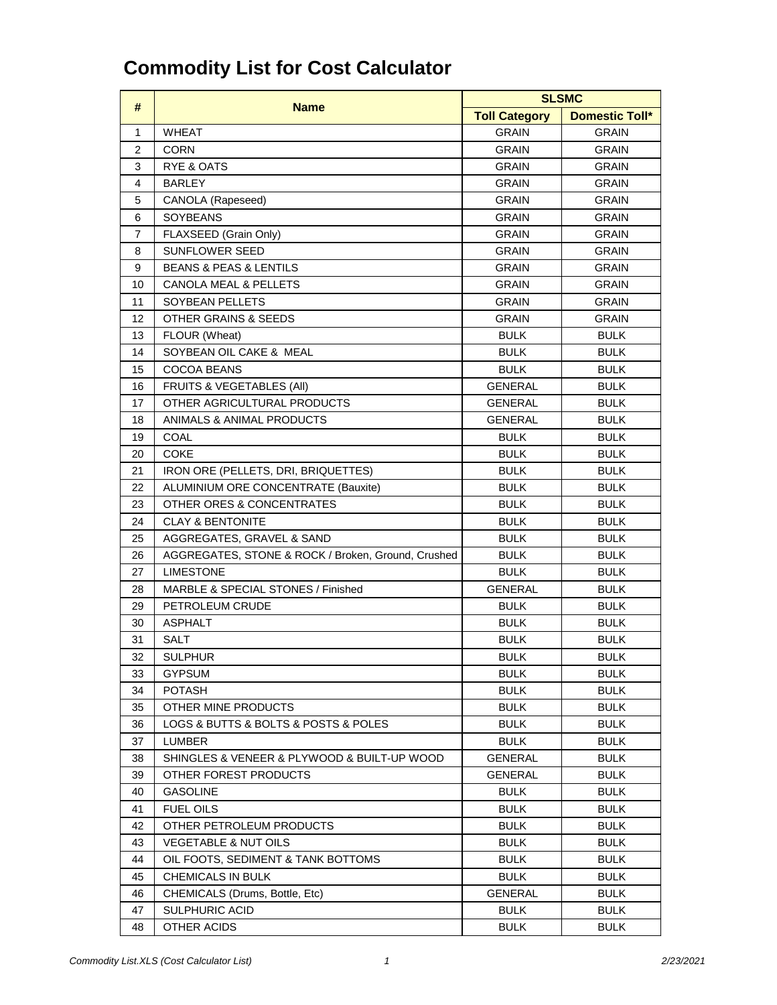| #              | <b>Name</b>                                        | <b>SLSMC</b>         |                       |
|----------------|----------------------------------------------------|----------------------|-----------------------|
|                |                                                    | <b>Toll Category</b> | <b>Domestic Toll*</b> |
| 1              | <b>WHEAT</b>                                       | <b>GRAIN</b>         | <b>GRAIN</b>          |
| $\overline{2}$ | <b>CORN</b>                                        | <b>GRAIN</b>         | <b>GRAIN</b>          |
| 3              | <b>RYE &amp; OATS</b>                              | <b>GRAIN</b>         | <b>GRAIN</b>          |
| 4              | <b>BARLEY</b>                                      | <b>GRAIN</b>         | <b>GRAIN</b>          |
| 5              | CANOLA (Rapeseed)                                  | <b>GRAIN</b>         | <b>GRAIN</b>          |
| 6              | <b>SOYBEANS</b>                                    | <b>GRAIN</b>         | <b>GRAIN</b>          |
| $\overline{7}$ | FLAXSEED (Grain Only)                              | <b>GRAIN</b>         | <b>GRAIN</b>          |
| 8              | <b>SUNFLOWER SEED</b>                              | <b>GRAIN</b>         | <b>GRAIN</b>          |
| 9              | <b>BEANS &amp; PEAS &amp; LENTILS</b>              | <b>GRAIN</b>         | <b>GRAIN</b>          |
| 10             | <b>CANOLA MEAL &amp; PELLETS</b>                   | <b>GRAIN</b>         | <b>GRAIN</b>          |
| 11             | <b>SOYBEAN PELLETS</b>                             | <b>GRAIN</b>         | <b>GRAIN</b>          |
| 12             | <b>OTHER GRAINS &amp; SEEDS</b>                    | <b>GRAIN</b>         | <b>GRAIN</b>          |
| 13             | FLOUR (Wheat)                                      | <b>BULK</b>          | <b>BULK</b>           |
| 14             | SOYBEAN OIL CAKE & MEAL                            | <b>BULK</b>          | <b>BULK</b>           |
| 15             | <b>COCOA BEANS</b>                                 | <b>BULK</b>          | <b>BULK</b>           |
| 16             | <b>FRUITS &amp; VEGETABLES (AII)</b>               | <b>GENERAL</b>       | <b>BULK</b>           |
| 17             | OTHER AGRICULTURAL PRODUCTS                        | <b>GENERAL</b>       | <b>BULK</b>           |
| 18             | ANIMALS & ANIMAL PRODUCTS                          | <b>GENERAL</b>       | <b>BULK</b>           |
| 19             | <b>COAL</b>                                        | <b>BULK</b>          | <b>BULK</b>           |
| 20             | <b>COKE</b>                                        | <b>BULK</b>          | <b>BULK</b>           |
| 21             | IRON ORE (PELLETS, DRI, BRIQUETTES)                | <b>BULK</b>          | <b>BULK</b>           |
| 22             | ALUMINIUM ORE CONCENTRATE (Bauxite)                | <b>BULK</b>          | <b>BULK</b>           |
| 23             | OTHER ORES & CONCENTRATES                          | <b>BULK</b>          | <b>BULK</b>           |
| 24             | <b>CLAY &amp; BENTONITE</b>                        | <b>BULK</b>          | <b>BULK</b>           |
| 25             | AGGREGATES, GRAVEL & SAND                          | <b>BULK</b>          | <b>BULK</b>           |
| 26             | AGGREGATES, STONE & ROCK / Broken, Ground, Crushed | <b>BULK</b>          | <b>BULK</b>           |
| 27             | <b>LIMESTONE</b>                                   | <b>BULK</b>          | <b>BULK</b>           |
| 28             | MARBLE & SPECIAL STONES / Finished                 | <b>GENERAL</b>       | <b>BULK</b>           |
| 29             | PETROLEUM CRUDE                                    | <b>BULK</b>          | <b>BULK</b>           |
| 30             | <b>ASPHALT</b>                                     | <b>BULK</b>          | <b>BULK</b>           |
| 31             | <b>SALT</b>                                        | <b>BULK</b>          | <b>BULK</b>           |
| 32             | <b>SULPHUR</b>                                     | <b>BULK</b>          | <b>BULK</b>           |
| 33             | <b>GYPSUM</b>                                      | <b>BULK</b>          | <b>BULK</b>           |
| 34             | <b>POTASH</b>                                      | <b>BULK</b>          | <b>BULK</b>           |
| 35             | OTHER MINE PRODUCTS                                | <b>BULK</b>          | <b>BULK</b>           |
| 36             | LOGS & BUTTS & BOLTS & POSTS & POLES               | <b>BULK</b>          | <b>BULK</b>           |
| 37             | <b>LUMBER</b>                                      | <b>BULK</b>          | <b>BULK</b>           |
| 38             | SHINGLES & VENEER & PLYWOOD & BUILT-UP WOOD        | <b>GENERAL</b>       | <b>BULK</b>           |
| 39             | OTHER FOREST PRODUCTS                              | <b>GENERAL</b>       | <b>BULK</b>           |
| 40             | <b>GASOLINE</b>                                    | <b>BULK</b>          | <b>BULK</b>           |
| 41             | <b>FUEL OILS</b>                                   | <b>BULK</b>          | <b>BULK</b>           |
| 42             | OTHER PETROLEUM PRODUCTS                           | <b>BULK</b>          | <b>BULK</b>           |
| 43             | <b>VEGETABLE &amp; NUT OILS</b>                    | <b>BULK</b>          | <b>BULK</b>           |
| 44             | OIL FOOTS, SEDIMENT & TANK BOTTOMS                 | <b>BULK</b>          | <b>BULK</b>           |
| 45             | <b>CHEMICALS IN BULK</b>                           | <b>BULK</b>          | <b>BULK</b>           |
| 46             | CHEMICALS (Drums, Bottle, Etc)                     | <b>GENERAL</b>       | <b>BULK</b>           |
| 47             | <b>SULPHURIC ACID</b>                              | <b>BULK</b>          | <b>BULK</b>           |
| 48             | OTHER ACIDS                                        | <b>BULK</b>          | <b>BULK</b>           |

## **Commodity List for Cost Calculator**